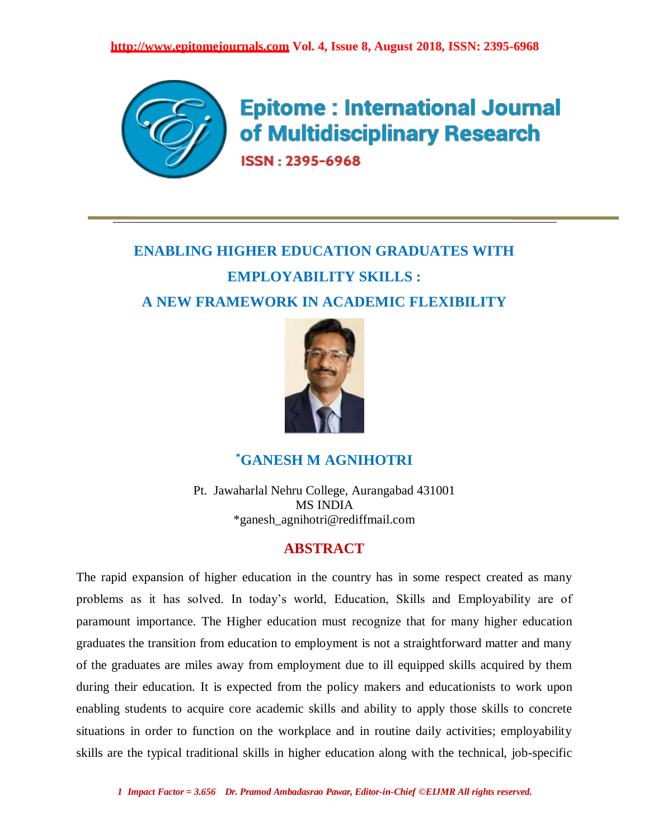

**Epitome: International Journal** of Multidisciplinary Research ISSN: 2395-6968

# **ENABLING HIGHER EDUCATION GRADUATES WITH EMPLOYABILITY SKILLS : A NEW FRAMEWORK IN ACADEMIC FLEXIBILITY**



# **\*GANESH M AGNIHOTRI**

Pt. Jawaharlal Nehru College, Aurangabad 431001 MS INDIA \*ganesh\_agnihotri@rediffmail.com

# **ABSTRACT**

The rapid expansion of higher education in the country has in some respect created as many problems as it has solved. In today's world, Education, Skills and Employability are of paramount importance. The Higher education must recognize that for many higher education graduates the transition from education to employment is not a straightforward matter and many of the graduates are miles away from employment due to ill equipped skills acquired by them during their education. It is expected from the policy makers and educationists to work upon enabling students to acquire core academic skills and ability to apply those skills to concrete situations in order to function on the workplace and in routine daily activities; employability skills are the typical traditional skills in higher education along with the technical, job-specific

*1 Impact Factor = 3.656 Dr. Pramod Ambadasrao Pawar, Editor-in-Chief ©EIJMR All rights reserved.*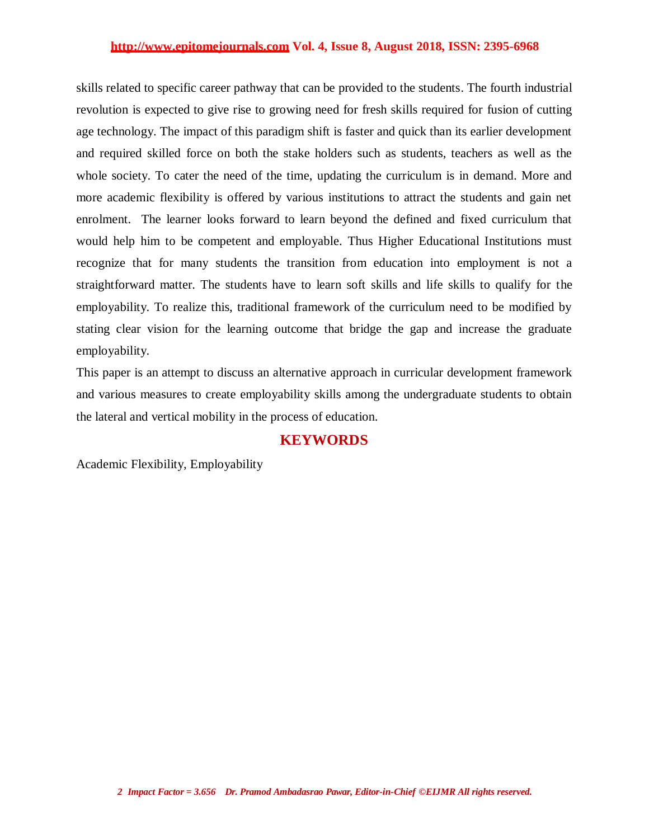skills related to specific career pathway that can be provided to the students. The fourth industrial revolution is expected to give rise to growing need for fresh skills required for fusion of cutting age technology. The impact of this paradigm shift is faster and quick than its earlier development and required skilled force on both the stake holders such as students, teachers as well as the whole society. To cater the need of the time, updating the curriculum is in demand. More and more academic flexibility is offered by various institutions to attract the students and gain net enrolment. The learner looks forward to learn beyond the defined and fixed curriculum that would help him to be competent and employable. Thus Higher Educational Institutions must recognize that for many students the transition from education into employment is not a straightforward matter. The students have to learn soft skills and life skills to qualify for the employability. To realize this, traditional framework of the curriculum need to be modified by stating clear vision for the learning outcome that bridge the gap and increase the graduate employability.

This paper is an attempt to discuss an alternative approach in curricular development framework and various measures to create employability skills among the undergraduate students to obtain the lateral and vertical mobility in the process of education.

### **KEYWORDS**

Academic Flexibility, Employability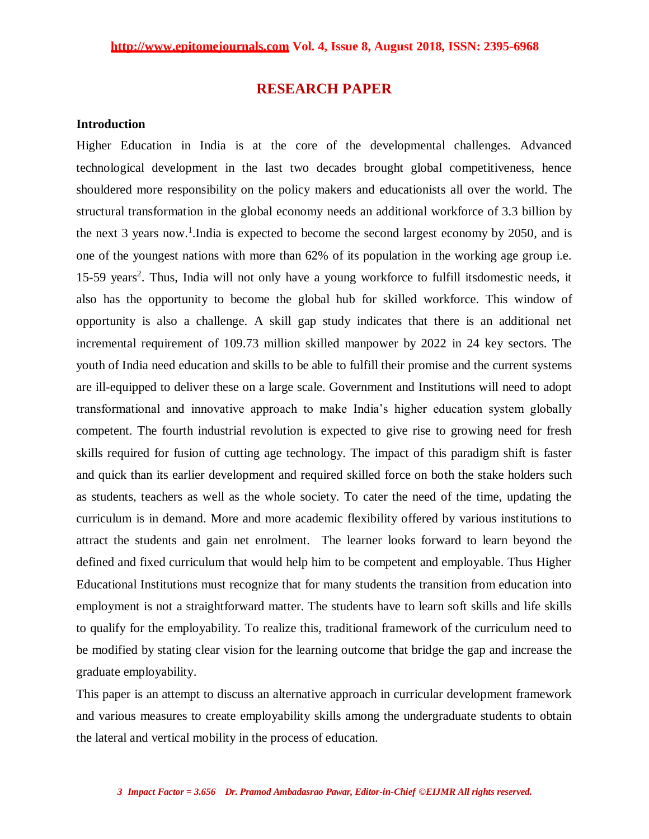## **RESEARCH PAPER**

#### **Introduction**

Higher Education in India is at the core of the developmental challenges. Advanced technological development in the last two decades brought global competitiveness, hence shouldered more responsibility on the policy makers and educationists all over the world. The structural transformation in the global economy needs an additional workforce of 3.3 billion by the next 3 years now.<sup>1</sup>. India is expected to become the second largest economy by 2050, and is one of the youngest nations with more than 62% of its population in the working age group i.e. 15-59 years<sup>2</sup>. Thus, India will not only have a young workforce to fulfill itsdomestic needs, it also has the opportunity to become the global hub for skilled workforce. This window of opportunity is also a challenge. A skill gap study indicates that there is an additional net incremental requirement of 109.73 million skilled manpower by 2022 in 24 key sectors. The youth of India need education and skills to be able to fulfill their promise and the current systems are ill-equipped to deliver these on a large scale. Government and Institutions will need to adopt transformational and innovative approach to make India's higher education system globally competent. The fourth industrial revolution is expected to give rise to growing need for fresh skills required for fusion of cutting age technology. The impact of this paradigm shift is faster and quick than its earlier development and required skilled force on both the stake holders such as students, teachers as well as the whole society. To cater the need of the time, updating the curriculum is in demand. More and more academic flexibility offered by various institutions to attract the students and gain net enrolment. The learner looks forward to learn beyond the defined and fixed curriculum that would help him to be competent and employable. Thus Higher Educational Institutions must recognize that for many students the transition from education into employment is not a straightforward matter. The students have to learn soft skills and life skills to qualify for the employability. To realize this, traditional framework of the curriculum need to be modified by stating clear vision for the learning outcome that bridge the gap and increase the graduate employability.

This paper is an attempt to discuss an alternative approach in curricular development framework and various measures to create employability skills among the undergraduate students to obtain the lateral and vertical mobility in the process of education.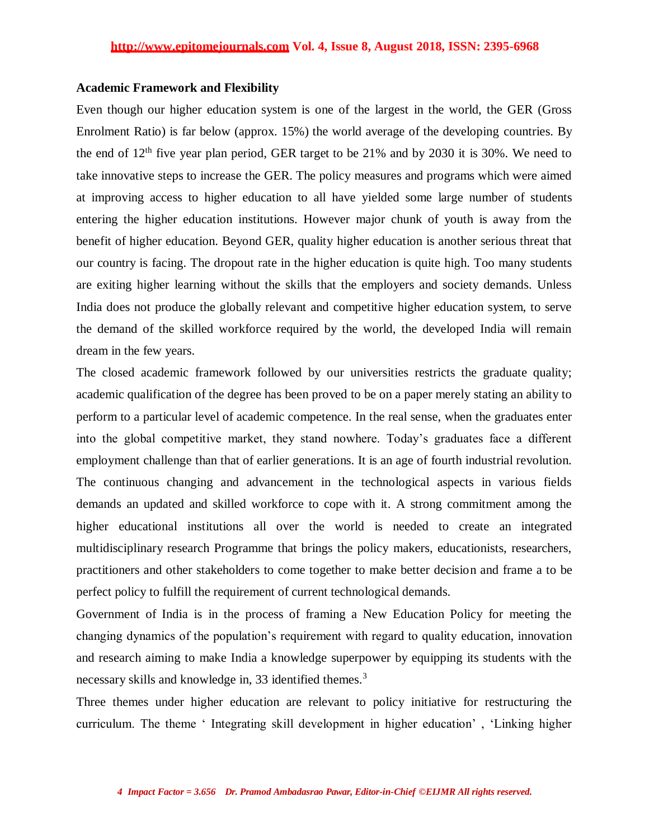#### **Academic Framework and Flexibility**

Even though our higher education system is one of the largest in the world, the GER (Gross Enrolment Ratio) is far below (approx. 15%) the world average of the developing countries. By the end of  $12<sup>th</sup>$  five year plan period, GER target to be 21% and by 2030 it is 30%. We need to take innovative steps to increase the GER. The policy measures and programs which were aimed at improving access to higher education to all have yielded some large number of students entering the higher education institutions. However major chunk of youth is away from the benefit of higher education. Beyond GER, quality higher education is another serious threat that our country is facing. The dropout rate in the higher education is quite high. Too many students are exiting higher learning without the skills that the employers and society demands. Unless India does not produce the globally relevant and competitive higher education system, to serve the demand of the skilled workforce required by the world, the developed India will remain dream in the few years.

The closed academic framework followed by our universities restricts the graduate quality; academic qualification of the degree has been proved to be on a paper merely stating an ability to perform to a particular level of academic competence. In the real sense, when the graduates enter into the global competitive market, they stand nowhere. Today's graduates face a different employment challenge than that of earlier generations. It is an age of fourth industrial revolution. The continuous changing and advancement in the technological aspects in various fields demands an updated and skilled workforce to cope with it. A strong commitment among the higher educational institutions all over the world is needed to create an integrated multidisciplinary research Programme that brings the policy makers, educationists, researchers, practitioners and other stakeholders to come together to make better decision and frame a to be perfect policy to fulfill the requirement of current technological demands.

Government of India is in the process of framing a New Education Policy for meeting the changing dynamics of the population's requirement with regard to quality education, innovation and research aiming to make India a knowledge superpower by equipping its students with the necessary skills and knowledge in, 33 identified themes.<sup>3</sup>

Three themes under higher education are relevant to policy initiative for restructuring the curriculum. The theme ' Integrating skill development in higher education' , 'Linking higher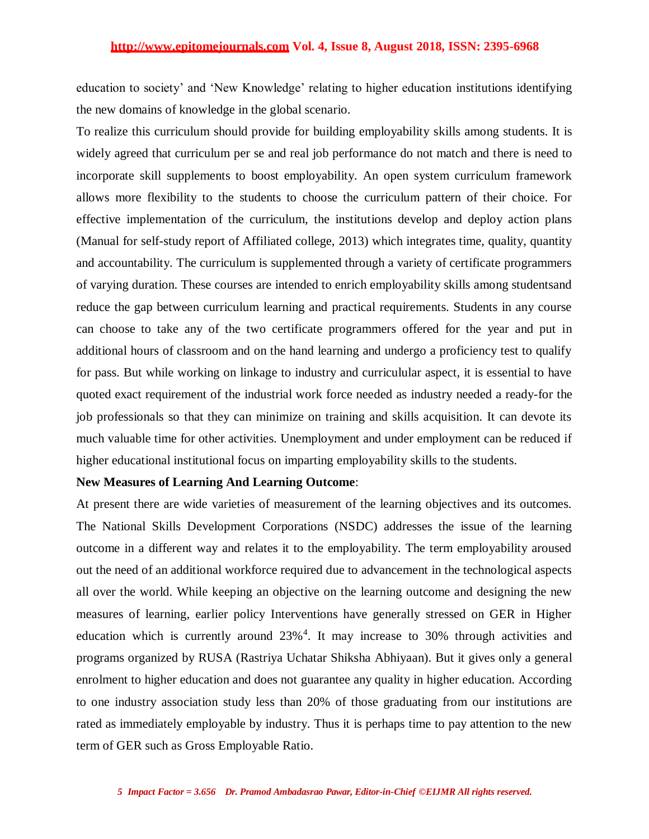education to society' and 'New Knowledge' relating to higher education institutions identifying the new domains of knowledge in the global scenario.

To realize this curriculum should provide for building employability skills among students. It is widely agreed that curriculum per se and real job performance do not match and there is need to incorporate skill supplements to boost employability. An open system curriculum framework allows more flexibility to the students to choose the curriculum pattern of their choice. For effective implementation of the curriculum, the institutions develop and deploy action plans (Manual for self-study report of Affiliated college, 2013) which integrates time, quality, quantity and accountability. The curriculum is supplemented through a variety of certificate programmers of varying duration. These courses are intended to enrich employability skills among studentsand reduce the gap between curriculum learning and practical requirements. Students in any course can choose to take any of the two certificate programmers offered for the year and put in additional hours of classroom and on the hand learning and undergo a proficiency test to qualify for pass. But while working on linkage to industry and curriculular aspect, it is essential to have quoted exact requirement of the industrial work force needed as industry needed a ready-for the job professionals so that they can minimize on training and skills acquisition. It can devote its much valuable time for other activities. Unemployment and under employment can be reduced if higher educational institutional focus on imparting employability skills to the students.

#### **New Measures of Learning And Learning Outcome**:

At present there are wide varieties of measurement of the learning objectives and its outcomes. The National Skills Development Corporations (NSDC) addresses the issue of the learning outcome in a different way and relates it to the employability. The term employability aroused out the need of an additional workforce required due to advancement in the technological aspects all over the world. While keeping an objective on the learning outcome and designing the new measures of learning, earlier policy Interventions have generally stressed on GER in Higher education which is currently around 23%<sup>4</sup>. It may increase to 30% through activities and programs organized by RUSA (Rastriya Uchatar Shiksha Abhiyaan). But it gives only a general enrolment to higher education and does not guarantee any quality in higher education. According to one industry association study less than 20% of those graduating from our institutions are rated as immediately employable by industry. Thus it is perhaps time to pay attention to the new term of GER such as Gross Employable Ratio.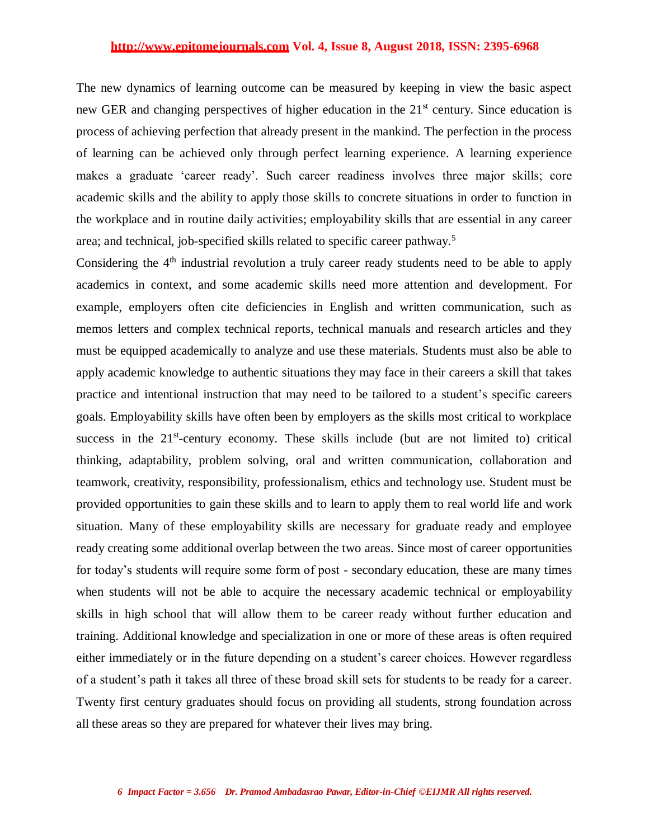The new dynamics of learning outcome can be measured by keeping in view the basic aspect new GER and changing perspectives of higher education in the 21<sup>st</sup> century. Since education is process of achieving perfection that already present in the mankind. The perfection in the process of learning can be achieved only through perfect learning experience. A learning experience makes a graduate 'career ready'. Such career readiness involves three major skills; core academic skills and the ability to apply those skills to concrete situations in order to function in the workplace and in routine daily activities; employability skills that are essential in any career area; and technical, job-specified skills related to specific career pathway.<sup>5</sup>

Considering the  $4<sup>th</sup>$  industrial revolution a truly career ready students need to be able to apply academics in context, and some academic skills need more attention and development. For example, employers often cite deficiencies in English and written communication, such as memos letters and complex technical reports, technical manuals and research articles and they must be equipped academically to analyze and use these materials. Students must also be able to apply academic knowledge to authentic situations they may face in their careers a skill that takes practice and intentional instruction that may need to be tailored to a student's specific careers goals. Employability skills have often been by employers as the skills most critical to workplace success in the  $21<sup>st</sup>$ -century economy. These skills include (but are not limited to) critical thinking, adaptability, problem solving, oral and written communication, collaboration and teamwork, creativity, responsibility, professionalism, ethics and technology use. Student must be provided opportunities to gain these skills and to learn to apply them to real world life and work situation. Many of these employability skills are necessary for graduate ready and employee ready creating some additional overlap between the two areas. Since most of career opportunities for today's students will require some form of post - secondary education, these are many times when students will not be able to acquire the necessary academic technical or employability skills in high school that will allow them to be career ready without further education and training. Additional knowledge and specialization in one or more of these areas is often required either immediately or in the future depending on a student's career choices. However regardless of a student's path it takes all three of these broad skill sets for students to be ready for a career. Twenty first century graduates should focus on providing all students, strong foundation across all these areas so they are prepared for whatever their lives may bring.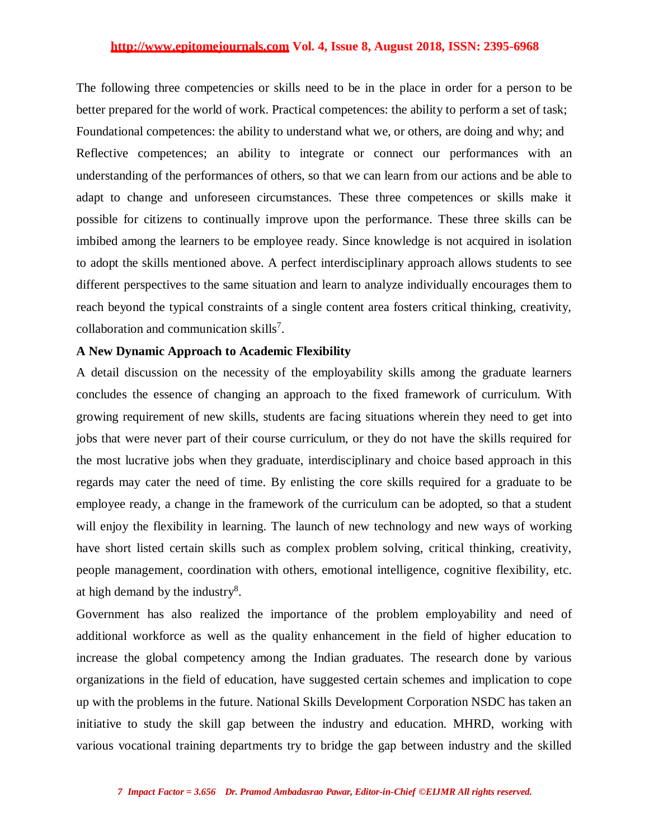The following three competencies or skills need to be in the place in order for a person to be better prepared for the world of work. Practical competences: the ability to perform a set of task; Foundational competences: the ability to understand what we, or others, are doing and why; and Reflective competences; an ability to integrate or connect our performances with an understanding of the performances of others, so that we can learn from our actions and be able to adapt to change and unforeseen circumstances. These three competences or skills make it possible for citizens to continually improve upon the performance. These three skills can be imbibed among the learners to be employee ready. Since knowledge is not acquired in isolation to adopt the skills mentioned above. A perfect interdisciplinary approach allows students to see different perspectives to the same situation and learn to analyze individually encourages them to reach beyond the typical constraints of a single content area fosters critical thinking, creativity, collaboration and communication skills<sup>7</sup>.

#### **A New Dynamic Approach to Academic Flexibility**

A detail discussion on the necessity of the employability skills among the graduate learners concludes the essence of changing an approach to the fixed framework of curriculum. With growing requirement of new skills, students are facing situations wherein they need to get into jobs that were never part of their course curriculum, or they do not have the skills required for the most lucrative jobs when they graduate, interdisciplinary and choice based approach in this regards may cater the need of time. By enlisting the core skills required for a graduate to be employee ready, a change in the framework of the curriculum can be adopted, so that a student will enjoy the flexibility in learning. The launch of new technology and new ways of working have short listed certain skills such as complex problem solving, critical thinking, creativity, people management, coordination with others, emotional intelligence, cognitive flexibility, etc. at high demand by the industry $8$ .

Government has also realized the importance of the problem employability and need of additional workforce as well as the quality enhancement in the field of higher education to increase the global competency among the Indian graduates. The research done by various organizations in the field of education, have suggested certain schemes and implication to cope up with the problems in the future. National Skills Development Corporation NSDC has taken an initiative to study the skill gap between the industry and education. MHRD, working with various vocational training departments try to bridge the gap between industry and the skilled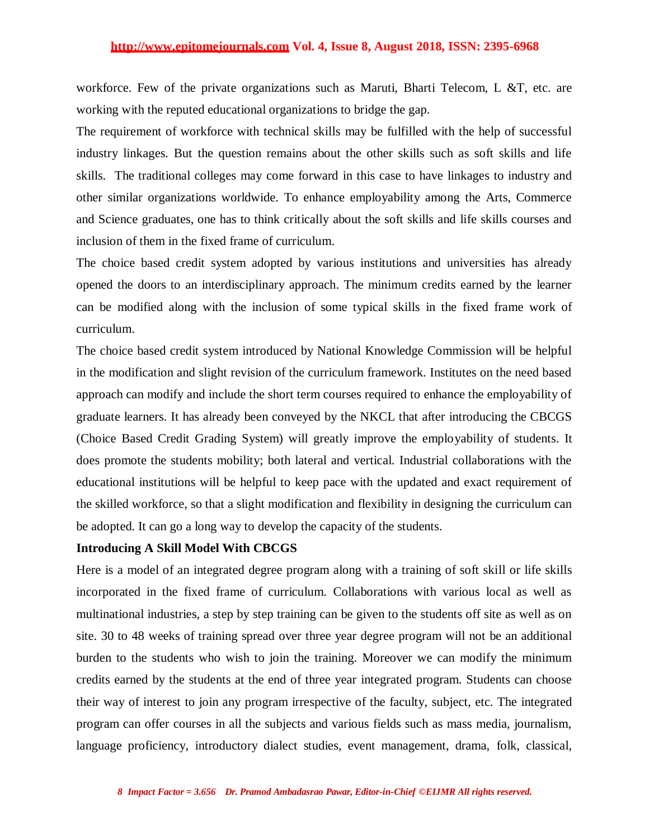workforce. Few of the private organizations such as Maruti, Bharti Telecom, L &T, etc. are working with the reputed educational organizations to bridge the gap.

The requirement of workforce with technical skills may be fulfilled with the help of successful industry linkages. But the question remains about the other skills such as soft skills and life skills. The traditional colleges may come forward in this case to have linkages to industry and other similar organizations worldwide. To enhance employability among the Arts, Commerce and Science graduates, one has to think critically about the soft skills and life skills courses and inclusion of them in the fixed frame of curriculum.

The choice based credit system adopted by various institutions and universities has already opened the doors to an interdisciplinary approach. The minimum credits earned by the learner can be modified along with the inclusion of some typical skills in the fixed frame work of curriculum.

The choice based credit system introduced by National Knowledge Commission will be helpful in the modification and slight revision of the curriculum framework. Institutes on the need based approach can modify and include the short term courses required to enhance the employability of graduate learners. It has already been conveyed by the NKCL that after introducing the CBCGS (Choice Based Credit Grading System) will greatly improve the employability of students. It does promote the students mobility; both lateral and vertical. Industrial collaborations with the educational institutions will be helpful to keep pace with the updated and exact requirement of the skilled workforce, so that a slight modification and flexibility in designing the curriculum can be adopted. It can go a long way to develop the capacity of the students.

#### **Introducing A Skill Model With CBCGS**

Here is a model of an integrated degree program along with a training of soft skill or life skills incorporated in the fixed frame of curriculum. Collaborations with various local as well as multinational industries, a step by step training can be given to the students off site as well as on site. 30 to 48 weeks of training spread over three year degree program will not be an additional burden to the students who wish to join the training. Moreover we can modify the minimum credits earned by the students at the end of three year integrated program. Students can choose their way of interest to join any program irrespective of the faculty, subject, etc. The integrated program can offer courses in all the subjects and various fields such as mass media, journalism, language proficiency, introductory dialect studies, event management, drama, folk, classical,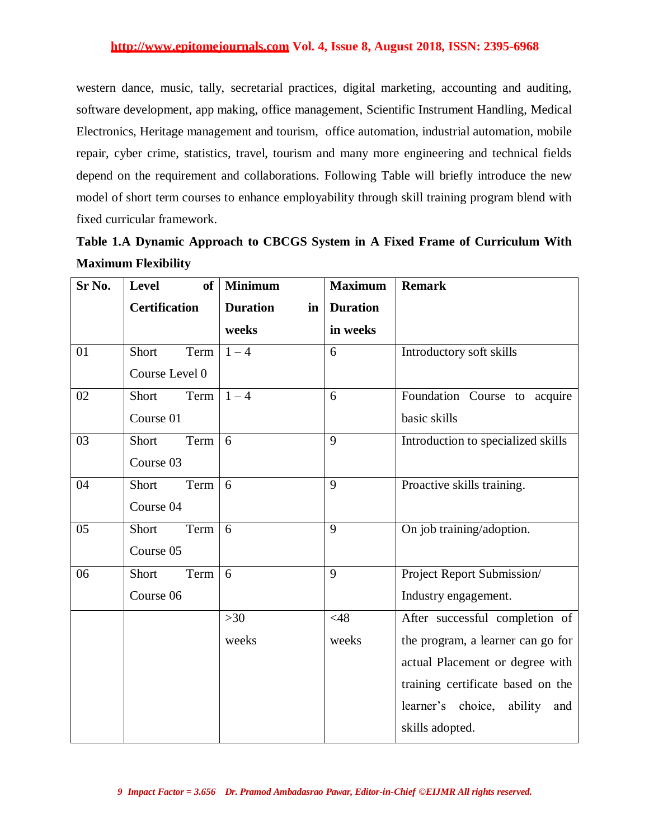western dance, music, tally, secretarial practices, digital marketing, accounting and auditing, software development, app making, office management, Scientific Instrument Handling, Medical Electronics, Heritage management and tourism, office automation, industrial automation, mobile repair, cyber crime, statistics, travel, tourism and many more engineering and technical fields depend on the requirement and collaborations. Following Table will briefly introduce the new model of short term courses to enhance employability through skill training program blend with fixed curricular framework.

| Sr No. | Level<br>of          | <b>Minimum</b>        | <b>Maximum</b>  | <b>Remark</b>                       |
|--------|----------------------|-----------------------|-----------------|-------------------------------------|
|        | <b>Certification</b> | <b>Duration</b><br>in | <b>Duration</b> |                                     |
|        |                      | weeks                 | in weeks        |                                     |
| 01     | Term<br>Short        | $1 - 4$               | 6               | Introductory soft skills            |
|        | Course Level 0       |                       |                 |                                     |
| 02     | Short<br>Term        | $1 - 4$               | 6               | Foundation Course to acquire        |
|        | Course 01            |                       |                 | basic skills                        |
| 03     | Short<br>Term        | 6                     | 9               | Introduction to specialized skills  |
|        | Course 03            |                       |                 |                                     |
| 04     | Short<br>Term        | 6                     | 9               | Proactive skills training.          |
|        | Course 04            |                       |                 |                                     |
| 05     | Short<br>Term        | 6                     | 9               | On job training/adoption.           |
|        | Course 05            |                       |                 |                                     |
| 06     | Term<br>Short        | 6                     | 9               | Project Report Submission/          |
|        | Course 06            |                       |                 | Industry engagement.                |
|        |                      | $>30$                 | <48             | After successful completion of      |
|        |                      | weeks                 | weeks           | the program, a learner can go for   |
|        |                      |                       |                 | actual Placement or degree with     |
|        |                      |                       |                 | training certificate based on the   |
|        |                      |                       |                 | learner's choice,<br>ability<br>and |
|        |                      |                       |                 | skills adopted.                     |

**Table 1.A Dynamic Approach to CBCGS System in A Fixed Frame of Curriculum With Maximum Flexibility**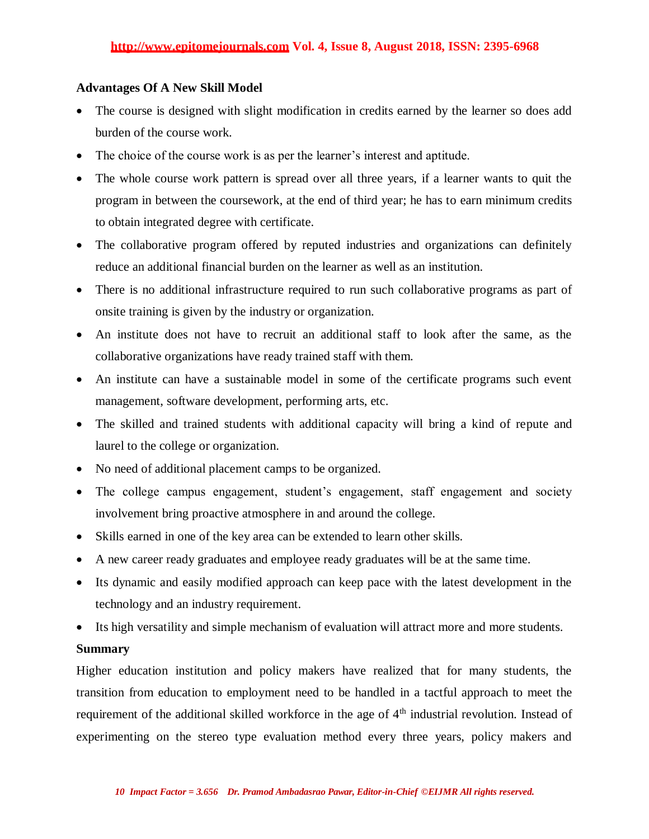#### **Advantages Of A New Skill Model**

- The course is designed with slight modification in credits earned by the learner so does add burden of the course work.
- The choice of the course work is as per the learner's interest and aptitude.
- The whole course work pattern is spread over all three years, if a learner wants to quit the program in between the coursework, at the end of third year; he has to earn minimum credits to obtain integrated degree with certificate.
- The collaborative program offered by reputed industries and organizations can definitely reduce an additional financial burden on the learner as well as an institution.
- There is no additional infrastructure required to run such collaborative programs as part of onsite training is given by the industry or organization.
- An institute does not have to recruit an additional staff to look after the same, as the collaborative organizations have ready trained staff with them.
- An institute can have a sustainable model in some of the certificate programs such event management, software development, performing arts, etc.
- The skilled and trained students with additional capacity will bring a kind of repute and laurel to the college or organization.
- No need of additional placement camps to be organized.
- The college campus engagement, student's engagement, staff engagement and society involvement bring proactive atmosphere in and around the college.
- Skills earned in one of the key area can be extended to learn other skills.
- A new career ready graduates and employee ready graduates will be at the same time.
- Its dynamic and easily modified approach can keep pace with the latest development in the technology and an industry requirement.
- Its high versatility and simple mechanism of evaluation will attract more and more students.

#### **Summary**

Higher education institution and policy makers have realized that for many students, the transition from education to employment need to be handled in a tactful approach to meet the requirement of the additional skilled workforce in the age of  $4<sup>th</sup>$  industrial revolution. Instead of experimenting on the stereo type evaluation method every three years, policy makers and